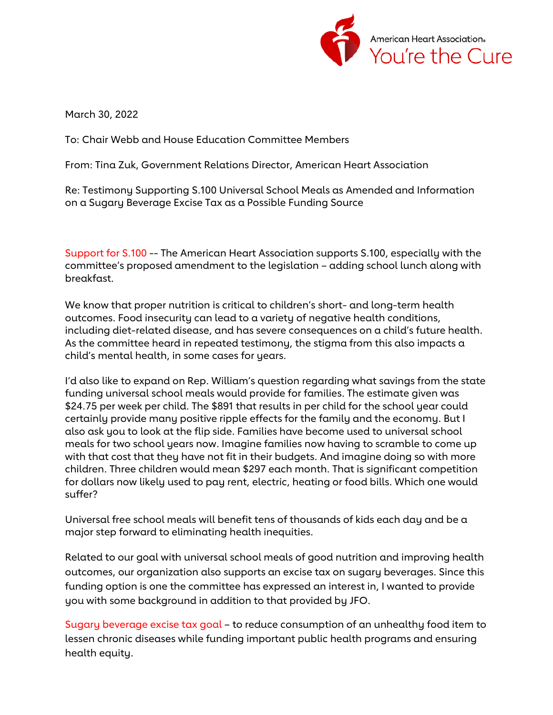

March 30, 2022

To: Chair Webb and House Education Committee Members

From: Tina Zuk, Government Relations Director, American Heart Association

Re: Testimony Supporting S.100 Universal School Meals as Amended and Information on a Sugary Beverage Excise Tax as a Possible Funding Source

Support for S.100 -- The American Heart Association supports S.100, especially with the committee's proposed amendment to the legislation – adding school lunch along with breakfast.

We know that proper nutrition is critical to children's short- and long-term health outcomes. Food insecurity can lead to a variety of negative health conditions, including diet-related disease, and has severe consequences on a child's future health. As the committee heard in repeated testimony, the stigma from this also impacts a child's mental health, in some cases for years.

I'd also like to expand on Rep. William's question regarding what savings from the state funding universal school meals would provide for families. The estimate given was \$24.75 per week per child. The \$891 that results in per child for the school year could certainly provide many positive ripple effects for the family and the economy. But I also ask you to look at the flip side. Families have become used to universal school meals for two school years now. Imagine families now having to scramble to come up with that cost that they have not fit in their budgets. And imagine doing so with more children. Three children would mean \$297 each month. That is significant competition for dollars now likely used to pay rent, electric, heating or food bills. Which one would suffer?

Universal free school meals will benefit tens of thousands of kids each day and be a major step forward to eliminating health inequities.

Related to our goal with universal school meals of good nutrition and improving health outcomes, our organization also supports an excise tax on sugary beverages. Since this funding option is one the committee has expressed an interest in, I wanted to provide you with some background in addition to that provided by JFO.

Sugary beverage excise tax goal – to reduce consumption of an unhealthy food item to lessen chronic diseases while funding important public health programs and ensuring health equity.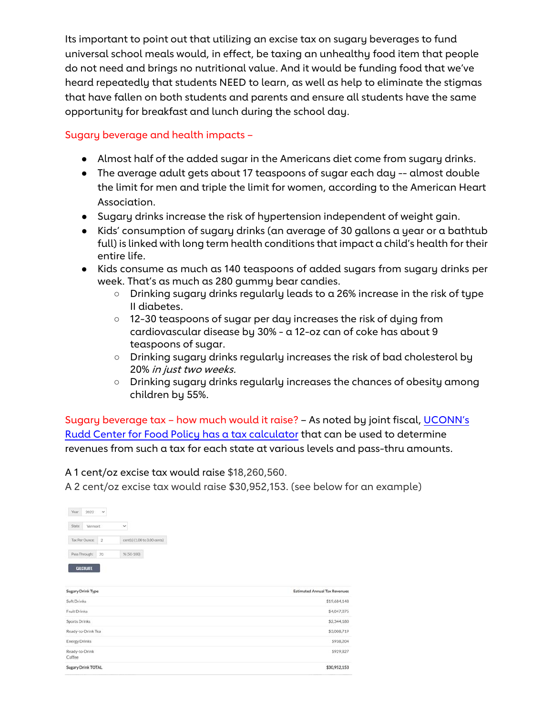Its important to point out that utilizing an excise tax on sugary beverages to fund universal school meals would, in effect, be taxing an unhealthy food item that people do not need and brings no nutritional value. And it would be funding food that we've heard repeatedly that students NEED to learn, as well as help to eliminate the stigmas that have fallen on both students and parents and ensure all students have the same opportunity for breakfast and lunch during the school day.

## Sugary beverage and health impacts –

- Almost half of the added sugar in the Americans diet come from sugary drinks.
- The average adult gets about 17 teaspoons of sugar each day -- almost double the limit for men and triple the limit for women, according to the American Heart Association.
- Sugary drinks increase the risk of hypertension independent of weight gain.
- Kids' consumption of sugary drinks (an average of 30 gallons a year or a bathtub full) is linked with long term health conditions that impact a child's health for their entire life.
- Kids consume as much as 140 teaspoons of added sugars from sugary drinks per week. That's as much as 280 gummy bear candies.
	- Drinking sugary drinks regularly leads to a 26% increase in the risk of type II diabetes.
	- 12-30 teaspoons of sugar per day increases the risk of dying from cardiovascular disease by 30% - a 12-oz can of coke has about 9 teaspoons of sugar.
	- Drinking sugary drinks regularly increases the risk of bad cholesterol by 20% in just two weeks.
	- Drinking sugary drinks regularly increases the chances of obesity among children by 55%.

Sugary beverage tax – how much would it raise? – As noted by joint fiscal, [UCONN's](https://uconnruddcenter.org/tax-calculator/)  [Rudd Center for Food Policy has a tax calculator](https://uconnruddcenter.org/tax-calculator/) that can be used to determine revenues from such a tax for each state at various levels and pass-thru amounts.

A 1 cent/oz excise tax would raise \$18,260,560.

A 2 cent/oz excise tax would raise \$30,952,153. (see below for an example)

| Year<br>2022<br>$\checkmark$<br>State<br>Vermont<br>$\checkmark$<br>cent(s) (1.00 to 3.00 cents)<br>Tax Per Ounce:<br>$\bar{2}$<br>Pass Through:<br>$% (50-100)$<br>70<br><b>CALCULATE</b><br>Sugary Drink Type<br>Soft Drinks<br>Fruit Drinks<br>Sports Drinks<br>Ready-to-Drink Tea<br><b>Energy Drinks</b><br>Ready-to-Drink<br>Coffee | Sugary Drink TOTAL |  | \$30,952,153                         |
|-------------------------------------------------------------------------------------------------------------------------------------------------------------------------------------------------------------------------------------------------------------------------------------------------------------------------------------------|--------------------|--|--------------------------------------|
|                                                                                                                                                                                                                                                                                                                                           |                    |  | \$929,827                            |
|                                                                                                                                                                                                                                                                                                                                           |                    |  | \$938,204                            |
|                                                                                                                                                                                                                                                                                                                                           |                    |  | \$3,008,719                          |
|                                                                                                                                                                                                                                                                                                                                           |                    |  | \$2,344,180                          |
|                                                                                                                                                                                                                                                                                                                                           |                    |  | \$4,047,075                          |
|                                                                                                                                                                                                                                                                                                                                           |                    |  | \$19,684,148                         |
|                                                                                                                                                                                                                                                                                                                                           |                    |  | <b>Estimated Annual Tax Revenues</b> |
|                                                                                                                                                                                                                                                                                                                                           |                    |  |                                      |
|                                                                                                                                                                                                                                                                                                                                           |                    |  |                                      |
|                                                                                                                                                                                                                                                                                                                                           |                    |  |                                      |
|                                                                                                                                                                                                                                                                                                                                           |                    |  |                                      |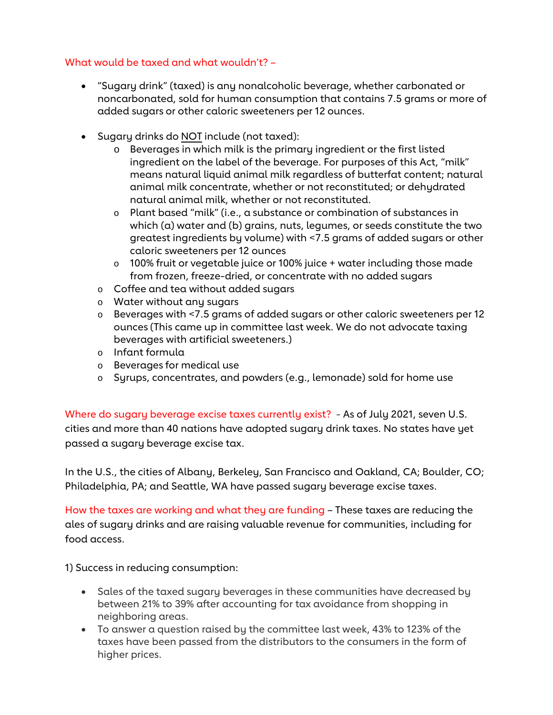## What would be taxed and what wouldn't? –

- "Sugary drink" (taxed) is any nonalcoholic beverage, whether carbonated or noncarbonated, sold for human consumption that contains 7.5 grams or more of added sugars or other caloric sweeteners per 12 ounces.
- Sugary drinks do NOT include (not taxed):
	- o Beverages in which milk is the primary ingredient or the first listed ingredient on the label of the beverage. For purposes of this Act, "milk" means natural liquid animal milk regardless of butterfat content; natural animal milk concentrate, whether or not reconstituted; or dehydrated natural animal milk, whether or not reconstituted.
	- o Plant based "milk" (i.e., a substance or combination of substances in which (a) water and (b) grains, nuts, legumes, or seeds constitute the two greatest ingredients by volume) with <7.5 grams of added sugars or other caloric sweeteners per 12 ounces
	- o 100% fruit or vegetable juice or 100% juice + water including those made from frozen, freeze-dried, or concentrate with no added sugars
	- o Coffee and tea without added sugars
	- o Water without any sugars
	- o Beverages with <7.5 grams of added sugars or other caloric sweeteners per 12 ounces (This came up in committee last week. We do not advocate taxing beverages with artificial sweeteners.)
	- o Infant formula
	- o Beverages for medical use
	- o Syrups, concentrates, and powders (e.g., lemonade) sold for home use

Where do sugary beverage excise taxes currently exist? - As of July 2021, seven U.S. cities and more than 40 nations have adopted sugary drink taxes. No states have yet passed a sugary beverage excise tax.

In the U.S., the cities of Albany, Berkeley, San Francisco and Oakland, CA; Boulder, CO; Philadelphia, PA; and Seattle, WA have passed sugary beverage excise taxes.

How the taxes are working and what they are funding – These taxes are reducing the ales of sugary drinks and are raising valuable revenue for communities, including for food access.

1) Success in reducing consumption:

- Sales of the taxed sugary beverages in these communities have decreased by between 21% to 39% after accounting for tax avoidance from shopping in neighboring areas.
- To answer a question raised by the committee last week, 43% to 123% of the taxes have been passed from the distributors to the consumers in the form of higher prices.